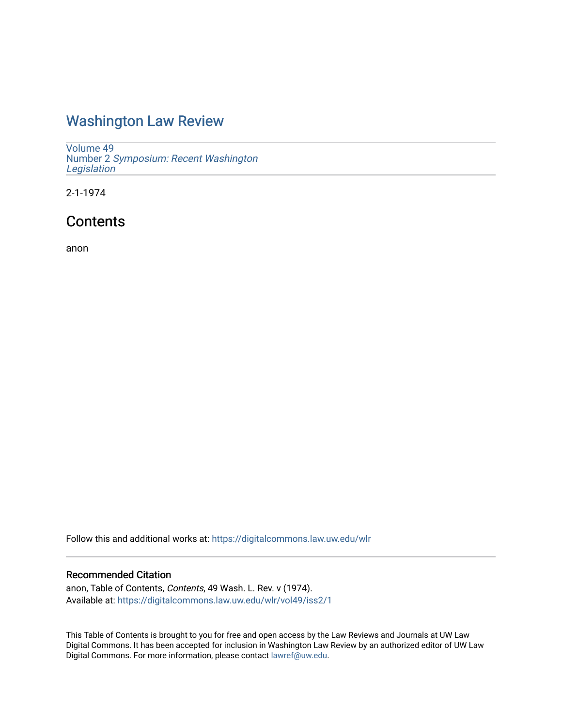## [Washington Law Review](https://digitalcommons.law.uw.edu/wlr)

[Volume 49](https://digitalcommons.law.uw.edu/wlr/vol49) Number 2 [Symposium: Recent Washington](https://digitalcommons.law.uw.edu/wlr/vol49/iss2)  [Legislation](https://digitalcommons.law.uw.edu/wlr/vol49/iss2) 

2-1-1974

### **Contents**

anon

Follow this and additional works at: [https://digitalcommons.law.uw.edu/wlr](https://digitalcommons.law.uw.edu/wlr?utm_source=digitalcommons.law.uw.edu%2Fwlr%2Fvol49%2Fiss2%2F1&utm_medium=PDF&utm_campaign=PDFCoverPages)

#### Recommended Citation

anon, Table of Contents, Contents, 49 Wash. L. Rev. v (1974). Available at: [https://digitalcommons.law.uw.edu/wlr/vol49/iss2/1](https://digitalcommons.law.uw.edu/wlr/vol49/iss2/1?utm_source=digitalcommons.law.uw.edu%2Fwlr%2Fvol49%2Fiss2%2F1&utm_medium=PDF&utm_campaign=PDFCoverPages)

This Table of Contents is brought to you for free and open access by the Law Reviews and Journals at UW Law Digital Commons. It has been accepted for inclusion in Washington Law Review by an authorized editor of UW Law Digital Commons. For more information, please contact [lawref@uw.edu.](mailto:lawref@uw.edu)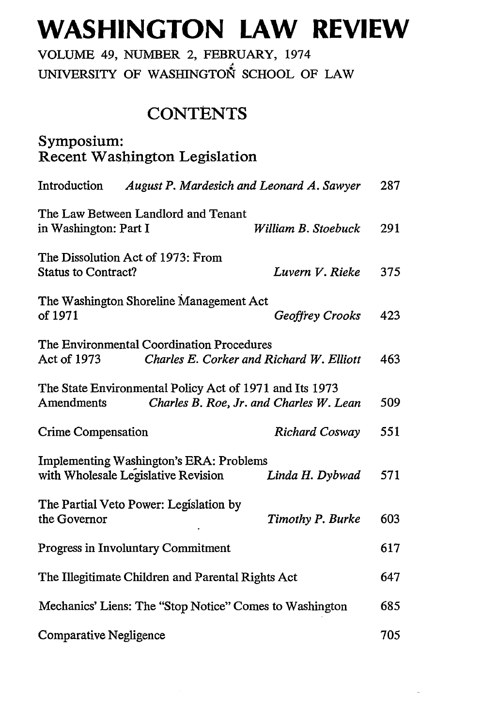# **WASHINGTON LAW REVIEW**

VOLUME 49, NUMBER 2, FEBRUARY, 1974 UNIVERSITY OF WASHINGTON SCHOOL OF LAW

### **CONTENTS**

| Symposium:<br><b>Recent Washington Legislation</b>                                                               |                        |     |
|------------------------------------------------------------------------------------------------------------------|------------------------|-----|
| Introduction<br>August P. Mardesich and Leonard A. Sawyer                                                        |                        | 287 |
| The Law Between Landlord and Tenant<br>in Washington: Part I                                                     | William B. Stoebuck    | 291 |
| The Dissolution Act of 1973: From<br><b>Status to Contract?</b>                                                  | Luvern V. Rieke        | 375 |
| The Washington Shoreline Management Act<br>of 1971                                                               | <b>Geoffrey Crooks</b> | 423 |
| The Environmental Coordination Procedures<br>Act of 1973<br>Charles E. Corker and Richard W. Elliott             |                        | 463 |
| The State Environmental Policy Act of 1971 and Its 1973<br>Amendments<br>Charles B. Roe, Jr. and Charles W. Lean |                        | 509 |
| <b>Crime Compensation</b>                                                                                        | <b>Richard Cosway</b>  | 551 |
| <b>Implementing Washington's ERA: Problems</b><br>with Wholesale Legislative Revision                            | Linda H. Dybwad        | 571 |
| The Partial Veto Power: Legislation by<br>the Governor                                                           | Timothy P. Burke       | 603 |
| <b>Progress in Involuntary Commitment</b>                                                                        |                        | 617 |
| The Illegitimate Children and Parental Rights Act                                                                |                        | 647 |
| Mechanics' Liens: The "Stop Notice" Comes to Washington                                                          |                        | 685 |
| Comparative Negligence                                                                                           |                        | 705 |